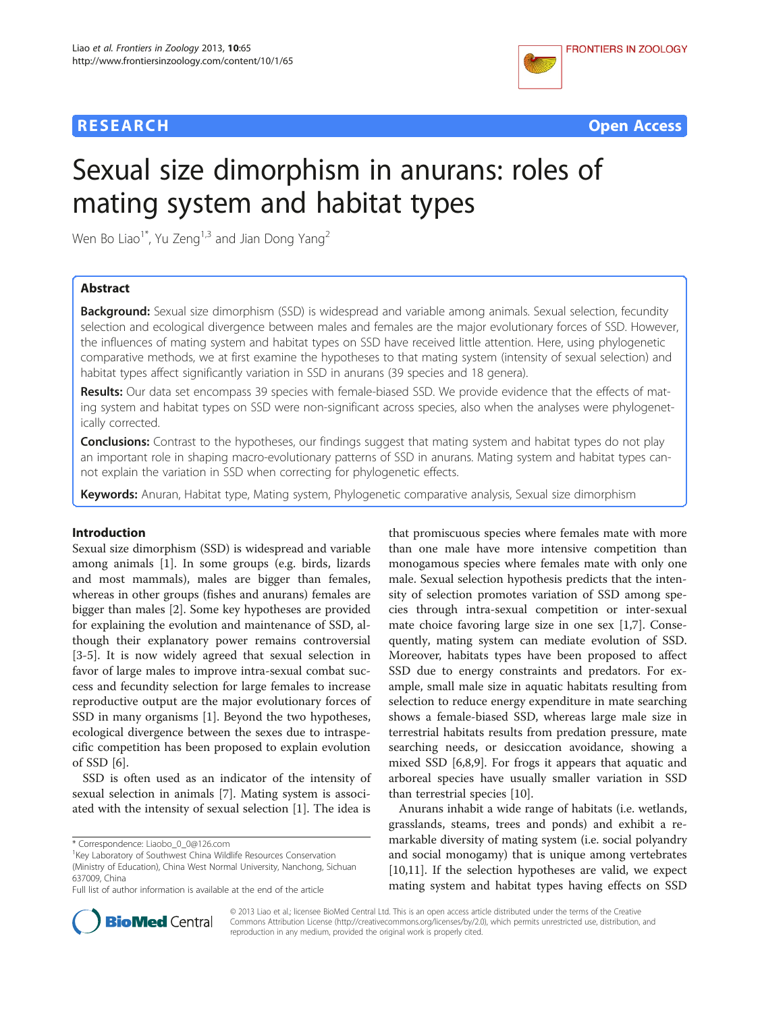



# Sexual size dimorphism in anurans: roles of mating system and habitat types

Wen Bo Liao<sup>1\*</sup>, Yu Zeng<sup>1,3</sup> and Jian Dong Yang<sup>2</sup>

# Abstract

**Background:** Sexual size dimorphism (SSD) is widespread and variable among animals. Sexual selection, fecundity selection and ecological divergence between males and females are the major evolutionary forces of SSD. However, the influences of mating system and habitat types on SSD have received little attention. Here, using phylogenetic comparative methods, we at first examine the hypotheses to that mating system (intensity of sexual selection) and habitat types affect significantly variation in SSD in anurans (39 species and 18 genera).

Results: Our data set encompass 39 species with female-biased SSD. We provide evidence that the effects of mating system and habitat types on SSD were non-significant across species, also when the analyses were phylogenetically corrected.

**Conclusions:** Contrast to the hypotheses, our findings suggest that mating system and habitat types do not play an important role in shaping macro-evolutionary patterns of SSD in anurans. Mating system and habitat types cannot explain the variation in SSD when correcting for phylogenetic effects.

Keywords: Anuran, Habitat type, Mating system, Phylogenetic comparative analysis, Sexual size dimorphism

# Introduction

Sexual size dimorphism (SSD) is widespread and variable among animals [\[1](#page-3-0)]. In some groups (e.g. birds, lizards and most mammals), males are bigger than females, whereas in other groups (fishes and anurans) females are bigger than males [[2\]](#page-3-0). Some key hypotheses are provided for explaining the evolution and maintenance of SSD, although their explanatory power remains controversial [[3-5](#page-3-0)]. It is now widely agreed that sexual selection in favor of large males to improve intra-sexual combat success and fecundity selection for large females to increase reproductive output are the major evolutionary forces of SSD in many organisms [[1\]](#page-3-0). Beyond the two hypotheses, ecological divergence between the sexes due to intraspecific competition has been proposed to explain evolution of SSD [[6\]](#page-3-0).

SSD is often used as an indicator of the intensity of sexual selection in animals [[7\]](#page-3-0). Mating system is associated with the intensity of sexual selection [\[1](#page-3-0)]. The idea is

that promiscuous species where females mate with more than one male have more intensive competition than monogamous species where females mate with only one male. Sexual selection hypothesis predicts that the intensity of selection promotes variation of SSD among species through intra-sexual competition or inter-sexual mate choice favoring large size in one sex [[1](#page-3-0),[7](#page-3-0)]. Consequently, mating system can mediate evolution of SSD. Moreover, habitats types have been proposed to affect SSD due to energy constraints and predators. For example, small male size in aquatic habitats resulting from selection to reduce energy expenditure in mate searching shows a female-biased SSD, whereas large male size in terrestrial habitats results from predation pressure, mate searching needs, or desiccation avoidance, showing a mixed SSD [\[6](#page-3-0),[8](#page-3-0),[9](#page-3-0)]. For frogs it appears that aquatic and arboreal species have usually smaller variation in SSD than terrestrial species [\[10\]](#page-3-0).

Anurans inhabit a wide range of habitats (i.e. wetlands, grasslands, steams, trees and ponds) and exhibit a remarkable diversity of mating system (i.e. social polyandry and social monogamy) that is unique among vertebrates [[10,11\]](#page-3-0). If the selection hypotheses are valid, we expect mating system and habitat types having effects on SSD



© 2013 Liao et al.; licensee BioMed Central Ltd. This is an open access article distributed under the terms of the Creative Commons Attribution License [\(http://creativecommons.org/licenses/by/2.0\)](http://creativecommons.org/licenses/by/2.0), which permits unrestricted use, distribution, and reproduction in any medium, provided the original work is properly cited.

<sup>\*</sup> Correspondence: [Liaobo\\_0\\_0@126.com](mailto:Liaobo_0_0@126.com) <sup>1</sup>

<sup>&</sup>lt;sup>1</sup> Key Laboratory of Southwest China Wildlife Resources Conservation (Ministry of Education), China West Normal University, Nanchong, Sichuan 637009, China

Full list of author information is available at the end of the article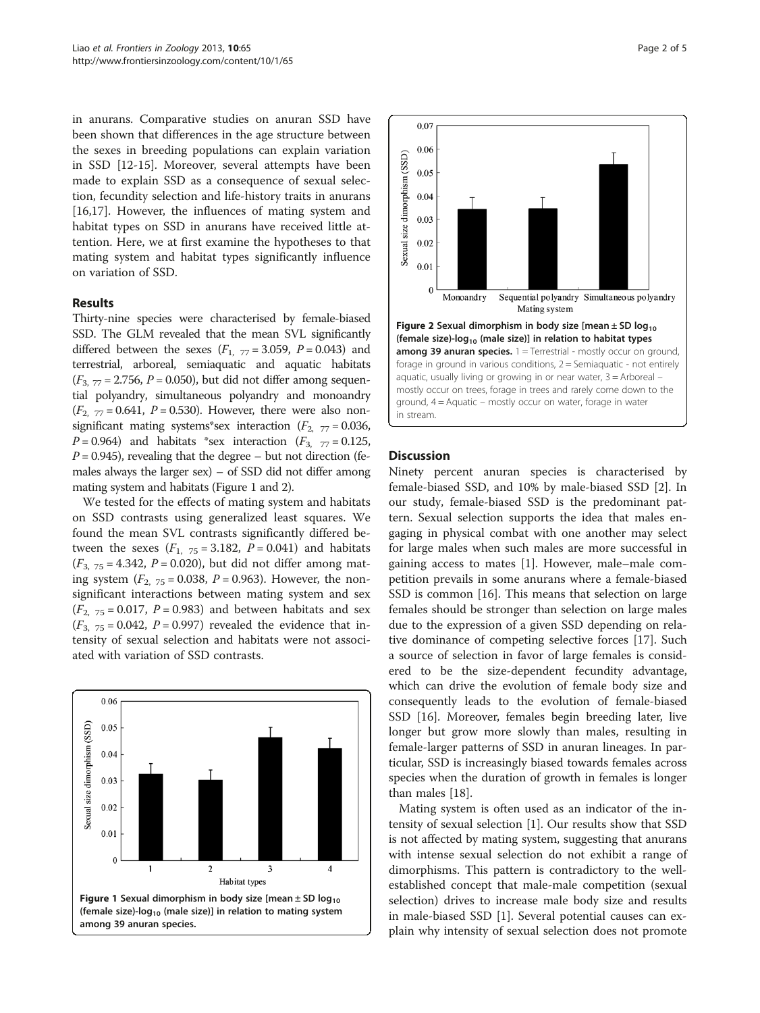in anurans. Comparative studies on anuran SSD have been shown that differences in the age structure between the sexes in breeding populations can explain variation in SSD [[12-15](#page-3-0)]. Moreover, several attempts have been made to explain SSD as a consequence of sexual selection, fecundity selection and life-history traits in anurans [[16,17\]](#page-3-0). However, the influences of mating system and habitat types on SSD in anurans have received little attention. Here, we at first examine the hypotheses to that mating system and habitat types significantly influence on variation of SSD.

# Results

Thirty-nine species were characterised by female-biased SSD. The GLM revealed that the mean SVL significantly differed between the sexes  $(F_1, 77 = 3.059, P = 0.043)$  and terrestrial, arboreal, semiaquatic and aquatic habitats  $(F_{3, 77} = 2.756, P = 0.050)$ , but did not differ among sequential polyandry, simultaneous polyandry and monoandry  $(F_{2, 77} = 0.641, P = 0.530)$ . However, there were also nonsignificant mating systems\*sex interaction  $(F_{2, 77} = 0.036,$  $P = 0.964$ ) and habitats \*sex interaction  $(F_{3, 77} = 0.125)$  $P = 0.945$ ), revealing that the degree – but not direction (females always the larger  $sex$ ) – of SSD did not differ among mating system and habitats (Figure 1 and 2).

We tested for the effects of mating system and habitats on SSD contrasts using generalized least squares. We found the mean SVL contrasts significantly differed between the sexes  $(F_{1, 75} = 3.182, P = 0.041)$  and habitats  $(F_{3, 75} = 4.342, P = 0.020)$ , but did not differ among mating system  $(F_{2, 75} = 0.038, P = 0.963)$ . However, the nonsignificant interactions between mating system and sex  $(F_{2, 75} = 0.017, P = 0.983)$  and between habitats and sex  $(F_{3, 75} = 0.042, P = 0.997)$  revealed the evidence that intensity of sexual selection and habitats were not associated with variation of SSD contrasts.





### **Discussion**

Ninety percent anuran species is characterised by female-biased SSD, and 10% by male-biased SSD [[2\]](#page-3-0). In our study, female-biased SSD is the predominant pattern. Sexual selection supports the idea that males engaging in physical combat with one another may select for large males when such males are more successful in gaining access to mates [[1](#page-3-0)]. However, male–male competition prevails in some anurans where a female-biased SSD is common [[16](#page-3-0)]. This means that selection on large females should be stronger than selection on large males due to the expression of a given SSD depending on relative dominance of competing selective forces [[17](#page-3-0)]. Such a source of selection in favor of large females is considered to be the size-dependent fecundity advantage, which can drive the evolution of female body size and consequently leads to the evolution of female-biased SSD [\[16\]](#page-3-0). Moreover, females begin breeding later, live longer but grow more slowly than males, resulting in female-larger patterns of SSD in anuran lineages. In particular, SSD is increasingly biased towards females across species when the duration of growth in females is longer than males [\[18](#page-3-0)].

Mating system is often used as an indicator of the intensity of sexual selection [[1\]](#page-3-0). Our results show that SSD is not affected by mating system, suggesting that anurans with intense sexual selection do not exhibit a range of dimorphisms. This pattern is contradictory to the wellestablished concept that male-male competition (sexual selection) drives to increase male body size and results in male-biased SSD [\[1](#page-3-0)]. Several potential causes can explain why intensity of sexual selection does not promote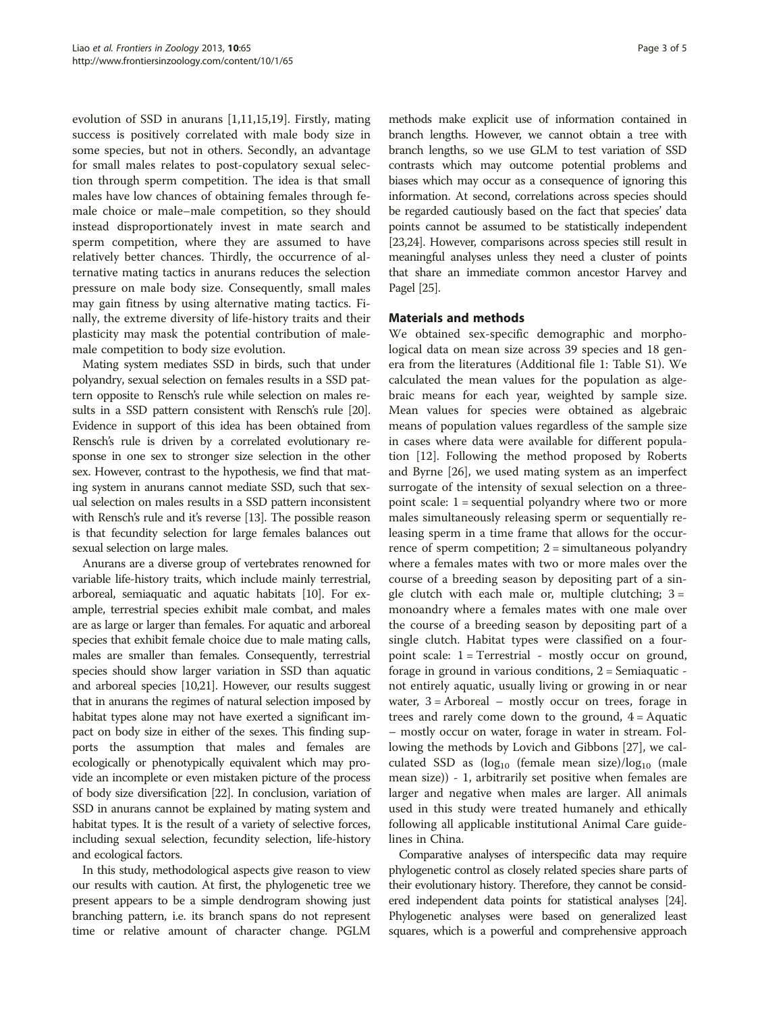evolution of SSD in anurans [\[1](#page-3-0),[11,15,19](#page-3-0)]. Firstly, mating success is positively correlated with male body size in some species, but not in others. Secondly, an advantage for small males relates to post-copulatory sexual selection through sperm competition. The idea is that small males have low chances of obtaining females through female choice or male–male competition, so they should instead disproportionately invest in mate search and sperm competition, where they are assumed to have relatively better chances. Thirdly, the occurrence of alternative mating tactics in anurans reduces the selection pressure on male body size. Consequently, small males may gain fitness by using alternative mating tactics. Finally, the extreme diversity of life-history traits and their plasticity may mask the potential contribution of malemale competition to body size evolution.

Mating system mediates SSD in birds, such that under polyandry, sexual selection on females results in a SSD pattern opposite to Rensch's rule while selection on males results in a SSD pattern consistent with Rensch's rule [\[20](#page-3-0)]. Evidence in support of this idea has been obtained from Rensch's rule is driven by a correlated evolutionary response in one sex to stronger size selection in the other sex. However, contrast to the hypothesis, we find that mating system in anurans cannot mediate SSD, such that sexual selection on males results in a SSD pattern inconsistent with Rensch's rule and it's reverse [[13](#page-3-0)]. The possible reason is that fecundity selection for large females balances out sexual selection on large males.

Anurans are a diverse group of vertebrates renowned for variable life-history traits, which include mainly terrestrial, arboreal, semiaquatic and aquatic habitats [[10](#page-3-0)]. For example, terrestrial species exhibit male combat, and males are as large or larger than females. For aquatic and arboreal species that exhibit female choice due to male mating calls, males are smaller than females. Consequently, terrestrial species should show larger variation in SSD than aquatic and arboreal species [\[10,21\]](#page-3-0). However, our results suggest that in anurans the regimes of natural selection imposed by habitat types alone may not have exerted a significant impact on body size in either of the sexes. This finding supports the assumption that males and females are ecologically or phenotypically equivalent which may provide an incomplete or even mistaken picture of the process of body size diversification [[22\]](#page-3-0). In conclusion, variation of SSD in anurans cannot be explained by mating system and habitat types. It is the result of a variety of selective forces, including sexual selection, fecundity selection, life-history and ecological factors.

In this study, methodological aspects give reason to view our results with caution. At first, the phylogenetic tree we present appears to be a simple dendrogram showing just branching pattern, i.e. its branch spans do not represent time or relative amount of character change. PGLM

methods make explicit use of information contained in branch lengths. However, we cannot obtain a tree with branch lengths, so we use GLM to test variation of SSD contrasts which may outcome potential problems and biases which may occur as a consequence of ignoring this information. At second, correlations across species should be regarded cautiously based on the fact that species' data points cannot be assumed to be statistically independent [[23,24\]](#page-3-0). However, comparisons across species still result in meaningful analyses unless they need a cluster of points that share an immediate common ancestor Harvey and Pagel [\[25](#page-3-0)].

# Materials and methods

We obtained sex-specific demographic and morphological data on mean size across 39 species and 18 genera from the literatures (Additional file [1:](#page-3-0) Table S1). We calculated the mean values for the population as algebraic means for each year, weighted by sample size. Mean values for species were obtained as algebraic means of population values regardless of the sample size in cases where data were available for different population [\[12](#page-3-0)]. Following the method proposed by Roberts and Byrne [\[26\]](#page-3-0), we used mating system as an imperfect surrogate of the intensity of sexual selection on a threepoint scale: 1 = sequential polyandry where two or more males simultaneously releasing sperm or sequentially releasing sperm in a time frame that allows for the occurrence of sperm competition;  $2 =$  simultaneous polyandry where a females mates with two or more males over the course of a breeding season by depositing part of a single clutch with each male or, multiple clutching;  $3 =$ monoandry where a females mates with one male over the course of a breeding season by depositing part of a single clutch. Habitat types were classified on a fourpoint scale: 1 = Terrestrial - mostly occur on ground, forage in ground in various conditions, 2 = Semiaquatic not entirely aquatic, usually living or growing in or near water, 3 = Arboreal – mostly occur on trees, forage in trees and rarely come down to the ground,  $4 =$  Aquatic – mostly occur on water, forage in water in stream. Following the methods by Lovich and Gibbons [\[27\]](#page-3-0), we calculated SSD as  $(log_{10}$  (female mean size)/ $log_{10}$  (male mean size)) - 1, arbitrarily set positive when females are larger and negative when males are larger. All animals used in this study were treated humanely and ethically following all applicable institutional Animal Care guidelines in China.

Comparative analyses of interspecific data may require phylogenetic control as closely related species share parts of their evolutionary history. Therefore, they cannot be considered independent data points for statistical analyses [\[24\]](#page-3-0). Phylogenetic analyses were based on generalized least squares, which is a powerful and comprehensive approach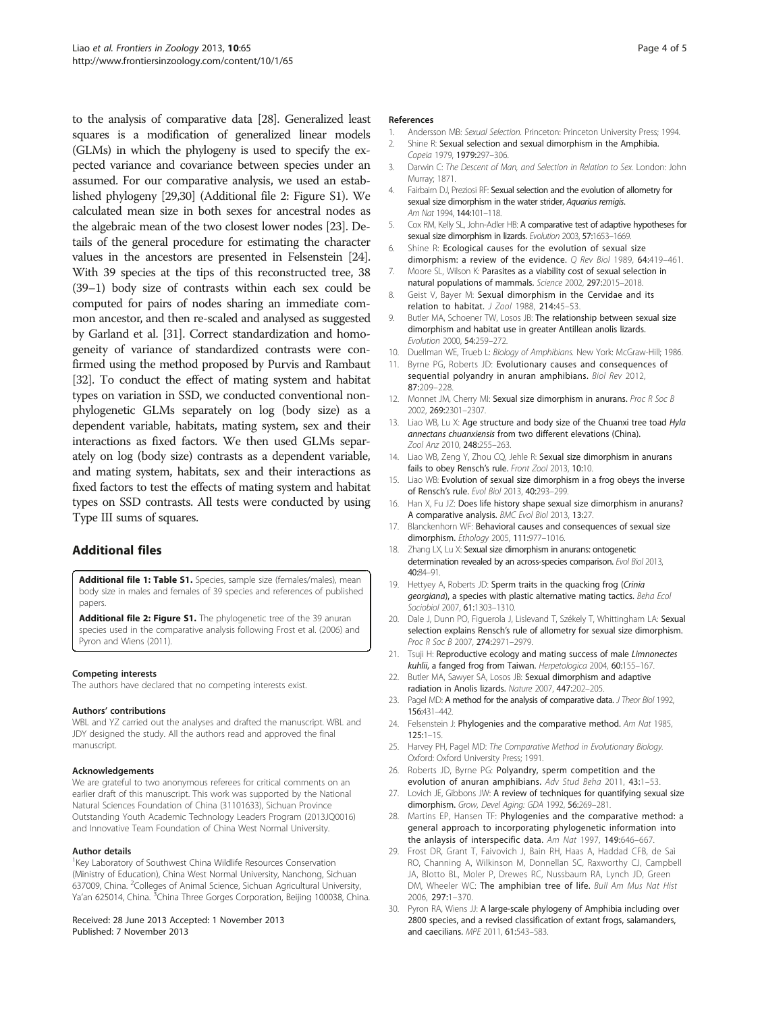<span id="page-3-0"></span>to the analysis of comparative data [28]. Generalized least squares is a modification of generalized linear models (GLMs) in which the phylogeny is used to specify the expected variance and covariance between species under an assumed. For our comparative analysis, we used an established phylogeny [29,30] (Additional file 2: Figure S1). We calculated mean size in both sexes for ancestral nodes as the algebraic mean of the two closest lower nodes [23]. Details of the general procedure for estimating the character values in the ancestors are presented in Felsenstein [24]. With 39 species at the tips of this reconstructed tree, 38 (39–1) body size of contrasts within each sex could be computed for pairs of nodes sharing an immediate common ancestor, and then re-scaled and analysed as suggested by Garland et al. [[31](#page-4-0)]. Correct standardization and homogeneity of variance of standardized contrasts were confirmed using the method proposed by Purvis and Rambaut [[32](#page-4-0)]. To conduct the effect of mating system and habitat types on variation in SSD, we conducted conventional nonphylogenetic GLMs separately on log (body size) as a dependent variable, habitats, mating system, sex and their interactions as fixed factors. We then used GLMs separately on log (body size) contrasts as a dependent variable, and mating system, habitats, sex and their interactions as fixed factors to test the effects of mating system and habitat types on SSD contrasts. All tests were conducted by using Type III sums of squares.

# Additional files

[Additional file 1: Table S1.](http://www.biomedcentral.com/content/supplementary/1742-9994-10-65-S1.doc) Species, sample size (females/males), mean body size in males and females of 39 species and references of published papers.

[Additional file 2: Figure S1.](http://www.biomedcentral.com/content/supplementary/1742-9994-10-65-S2.jpeg) The phylogenetic tree of the 39 anuran species used in the comparative analysis following Frost et al. (2006) and Pyron and Wiens (2011).

#### Competing interests

The authors have declared that no competing interests exist.

#### Authors' contributions

WBL and YZ carried out the analyses and drafted the manuscript. WBL and JDY designed the study. All the authors read and approved the final manuscript.

#### Acknowledgements

We are grateful to two anonymous referees for critical comments on an earlier draft of this manuscript. This work was supported by the National Natural Sciences Foundation of China (31101633), Sichuan Province Outstanding Youth Academic Technology Leaders Program (2013JQ0016) and Innovative Team Foundation of China West Normal University.

#### Author details

<sup>1</sup>Key Laboratory of Southwest China Wildlife Resources Conservation (Ministry of Education), China West Normal University, Nanchong, Sichuan 637009, China. <sup>2</sup>Colleges of Animal Science, Sichuan Agricultural University, Ya'an 625014, China. <sup>3</sup>China Three Gorges Corporation, Beijing 100038, China.

Received: 28 June 2013 Accepted: 1 November 2013 Published: 7 November 2013

#### References

- 1. Andersson MB: Sexual Selection. Princeton: Princeton University Press: 1994.
- 2. Shine R: Sexual selection and sexual dimorphism in the Amphibia. Copeia 1979, 1979:297–306.
- 3. Darwin C: The Descent of Man, and Selection in Relation to Sex. London: John Murray; 1871.
- 4. Fairbairn DJ, Preziosi RF: Sexual selection and the evolution of allometry for sexual size dimorphism in the water strider, Aquarius remigis. Am Nat 1994, 144:101–118.
- 5. Cox RM, Kelly SL, John-Adler HB: A comparative test of adaptive hypotheses for sexual size dimorphism in lizards. Evolution 2003, 57:1653–1669.
- 6. Shine R: Ecological causes for the evolution of sexual size dimorphism: a review of the evidence. Q Rev Biol 1989, 64:419–461.
- 7. Moore SL, Wilson K: Parasites as a viability cost of sexual selection in natural populations of mammals. Science 2002, 297:2015–2018.
- 8. Geist V, Bayer M: Sexual dimorphism in the Cervidae and its relation to habitat. J Zool 1988, 214:45-53.
- 9. Butler MA, Schoener TW, Losos JB: The relationship between sexual size dimorphism and habitat use in greater Antillean anolis lizards. Evolution 2000, 54:259–272.
- 10. Duellman WE, Trueb L: Biology of Amphibians. New York: McGraw-Hill; 1986.
- 11. Byrne PG, Roberts JD: Evolutionary causes and consequences of sequential polyandry in anuran amphibians. Biol Rev 2012, 87:209–228.
- 12. Monnet JM, Cherry MI: Sexual size dimorphism in anurans. Proc R Soc B 2002, 269:2301–2307.
- 13. Liao WB, Lu X: Age structure and body size of the Chuanxi tree toad Hyla annectans chuanxiensis from two different elevations (China). Zool Anz 2010, 248:255–263.
- 14. Liao WB, Zeng Y, Zhou CQ, Jehle R: Sexual size dimorphism in anurans fails to obey Rensch's rule. Front Zool 2013, 10:10.
- 15. Liao WB: Evolution of sexual size dimorphism in a frog obeys the inverse of Rensch's rule. Evol Biol 2013, 40:293–299.
- 16. Han X, Fu JZ: Does life history shape sexual size dimorphism in anurans? A comparative analysis. BMC Evol Biol 2013, 13:27.
- 17. Blanckenhorn WF: Behavioral causes and consequences of sexual size dimorphism. Ethology 2005, 111:977–1016.
- 18. Zhang LX, Lu X: Sexual size dimorphism in anurans: ontogenetic determination revealed by an across-species comparison. Evol Biol 2013, 40:84–91.
- 19. Hettyey A, Roberts JD: Sperm traits in the quacking frog (Crinia georgiana), a species with plastic alternative mating tactics. Beha Ecol Sociobiol 2007, 61:1303-1310.
- 20. Dale J, Dunn PO, Figuerola J, Lislevand T, Székely T, Whittingham LA: Sexual selection explains Rensch's rule of allometry for sexual size dimorphism. Proc R Soc B 2007, 274:2971–2979.
- 21. Tsuji H: Reproductive ecology and mating success of male Limnonectes kuhlii, a fanged frog from Taiwan. Herpetologica 2004, 60:155–167.
- 22. Butler MA, Sawyer SA, Losos JB: Sexual dimorphism and adaptive radiation in Anolis lizards. Nature 2007, 447:202–205.
- 23. Pagel MD: A method for the analysis of comparative data. J Theor Biol 1992, 156:431–442.
- 24. Felsenstein J: Phylogenies and the comparative method. Am Nat 1985, 125:1–15.
- 25. Harvey PH, Pagel MD: The Comparative Method in Evolutionary Biology. Oxford: Oxford University Press; 1991.
- 26. Roberts JD, Byrne PG: Polyandry, sperm competition and the evolution of anuran amphibians. Adv Stud Beha 2011, 43:1–53.
- 27. Lovich JE, Gibbons JW: A review of techniques for quantifying sexual size dimorphism. Grow, Devel Aging: GDA 1992, 56:269–281.
- 28. Martins EP, Hansen TF: Phylogenies and the comparative method: a general approach to incorporating phylogenetic information into the anlaysis of interspecific data. Am Nat 1997, 149:646–667.
- 29. Frost DR, Grant T, Faivovich J, Bain RH, Haas A, Haddad CFB, de Saì RO, Channing A, Wilkinson M, Donnellan SC, Raxworthy CJ, Campbell JA, Blotto BL, Moler P, Drewes RC, Nussbaum RA, Lynch JD, Green DM, Wheeler WC: The amphibian tree of life. Bull Am Mus Nat Hist 2006, 297:1–370.
- 30. Pyron RA, Wiens JJ: A large-scale phylogeny of Amphibia including over 2800 species, and a revised classification of extant frogs, salamanders, and caecilians. MPE 2011, 61:543–583.